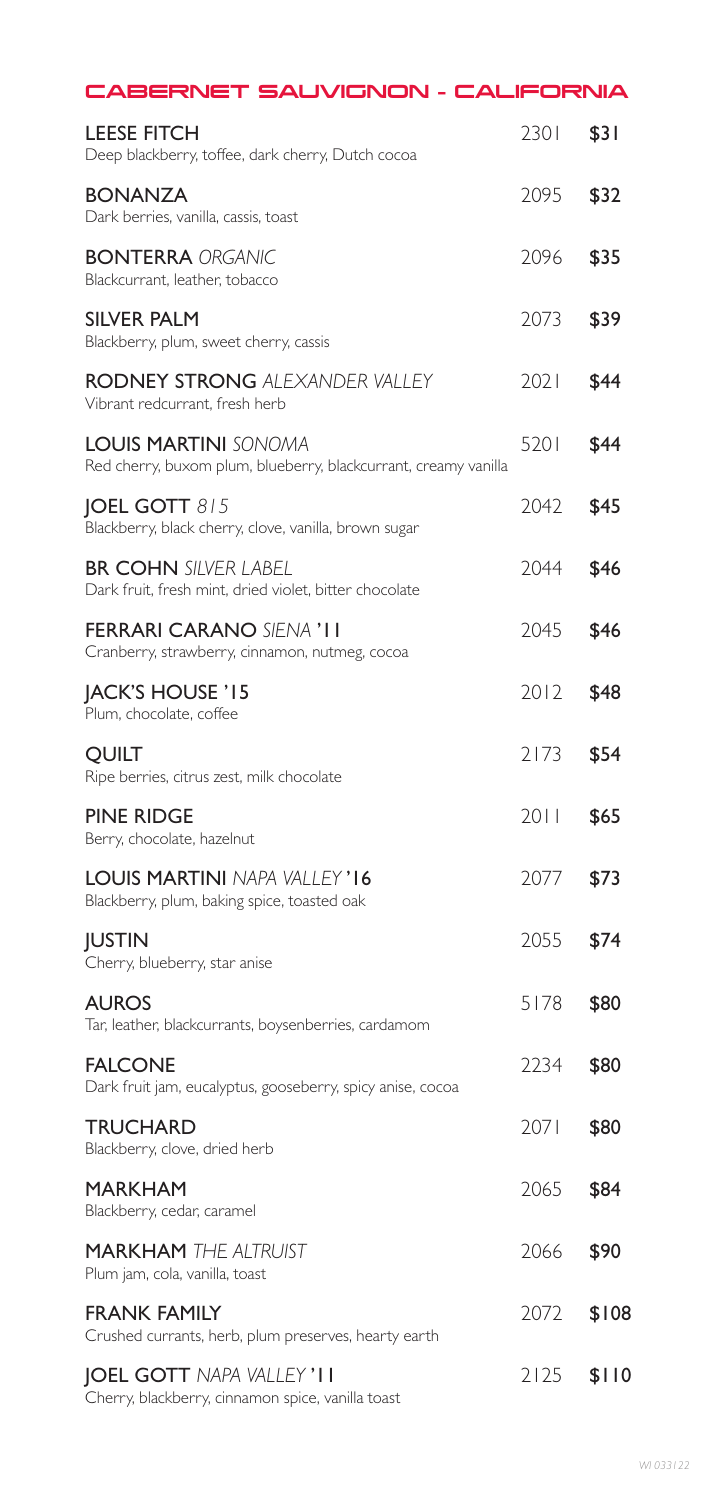| CABERNET SAUVIGNON - CALIFORNIA                                                                |      |       |
|------------------------------------------------------------------------------------------------|------|-------|
| <b>LEESE FITCH</b><br>Deep blackberry, toffee, dark cherry, Dutch cocoa                        | 2301 | \$31  |
| <b>BONANZA</b><br>Dark berries, vanilla, cassis, toast                                         | 2095 | \$32  |
| <b>BONTERRA ORGANIC</b><br>Blackcurrant, leather, tobacco                                      | 2096 | \$35  |
| <b>SILVER PALM</b><br>Blackberry, plum, sweet cherry, cassis                                   | 2073 | \$39  |
| <b>RODNEY STRONG ALEXANDER VALLEY</b><br>Vibrant redcurrant, fresh herb                        | 2021 | \$44  |
| <b>LOUIS MARTINI SONOMA</b><br>Red cherry, buxom plum, blueberry, blackcurrant, creamy vanilla | 5201 | \$44  |
| <b>JOEL GOTT 815</b><br>Blackberry, black cherry, clove, vanilla, brown sugar                  | 2042 | \$45  |
| <b>BR COHN SILVER LABEL</b><br>Dark fruit, fresh mint, dried violet, bitter chocolate          | 2044 | \$46  |
| <b>FERRARI CARANO SIENA 'I I</b><br>Cranberry, strawberry, cinnamon, nutmeg, cocoa             | 2045 | \$46  |
| <b>JACK'S HOUSE '15</b><br>Plum, chocolate, coffee                                             | 2012 | \$48  |
| <b>QUILT</b><br>Ripe berries, citrus zest, milk chocolate                                      | 2173 | \$54  |
| <b>PINE RIDGE</b><br>Berry, chocolate, hazelnut                                                | 2011 | \$65  |
| LOUIS MARTINI NAPA VALLEY'I6<br>Blackberry, plum, baking spice, toasted oak                    | 2077 | \$73  |
| <b>JUSTIN</b><br>Cherry, blueberry, star anise                                                 | 2055 | \$74  |
| <b>AUROS</b><br>Tar, leather, blackcurrants, boysenberries, cardamom                           | 5178 | \$80  |
| <b>FALCONE</b><br>Dark fruit jam, eucalyptus, gooseberry, spicy anise, cocoa                   | 2234 | \$80  |
| <b>TRUCHARD</b><br>Blackberry, clove, dried herb                                               | 2071 | \$80  |
| <b>MARKHAM</b><br>Blackberry, cedar, caramel                                                   | 2065 | \$84  |
| <b>MARKHAM THE ALTRUIST</b><br>Plum jam, cola, vanilla, toast                                  | 2066 | \$90  |
| <b>FRANK FAMILY</b><br>Crushed currants, herb, plum preserves, hearty earth                    | 2072 | \$108 |
| <b>JOEL GOTT NAPA VALLEY'II</b><br>Cherry, blackberry, cinnamon spice, vanilla toast           | 2125 | \$110 |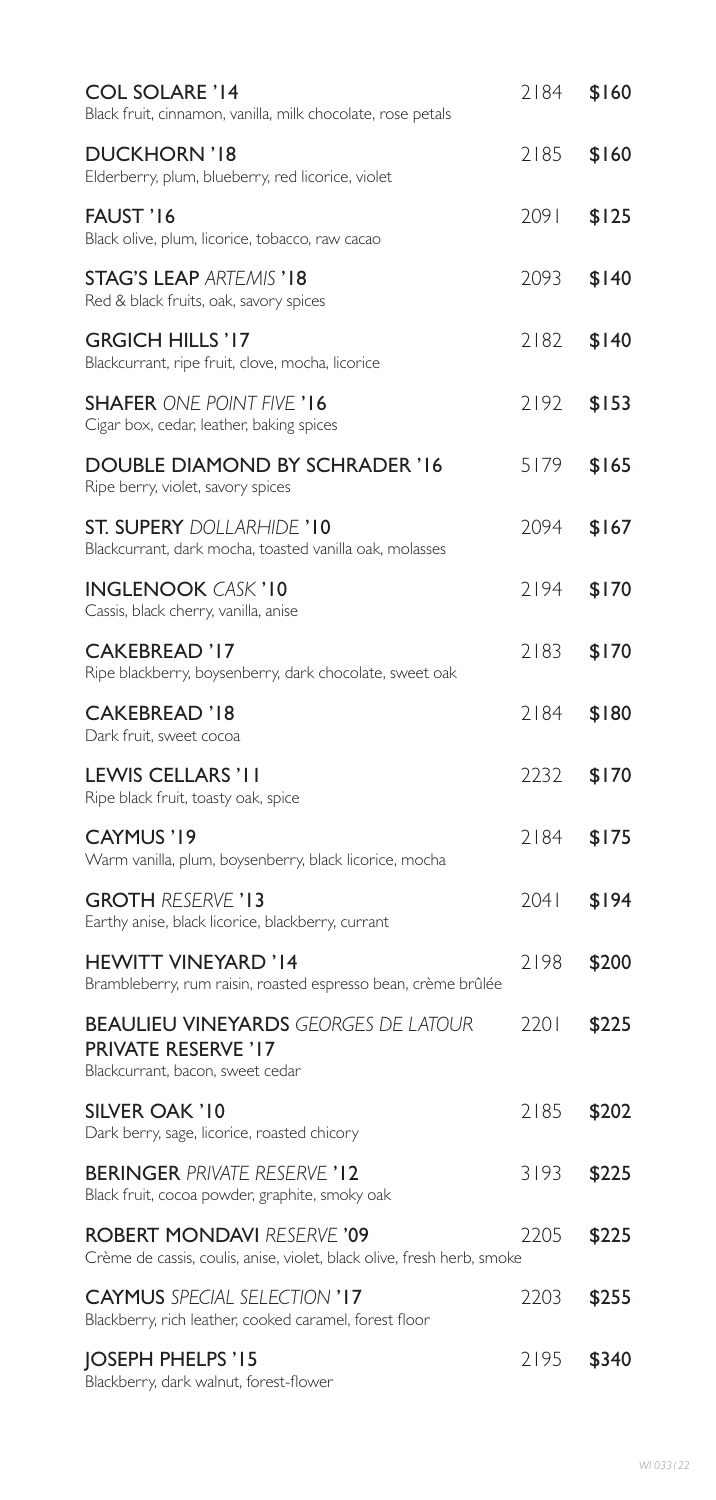| <b>COL SOLARE '14</b><br>Black fruit, cinnamon, vanilla, milk chocolate, rose petals                          | 2184 | \$160 |
|---------------------------------------------------------------------------------------------------------------|------|-------|
| <b>DUCKHORN '18</b><br>Elderberry, plum, blueberry, red licorice, violet                                      | 2185 | \$160 |
| FAUST '16<br>Black olive, plum, licorice, tobacco, raw cacao                                                  | 2091 | \$125 |
| <b>STAG'S LEAP ARTEMIS '18</b><br>Red & black fruits, oak, savory spices                                      | 2093 | \$140 |
| <b>GRGICH HILLS '17</b><br>Blackcurrant, ripe fruit, clove, mocha, licorice                                   | 2182 | \$140 |
| <b>SHAFER ONE POINT FIVE '16</b><br>Cigar box, cedar, leather, baking spices                                  | 2192 | \$153 |
| <b>DOUBLE DIAMOND BY SCHRADER '16</b><br>Ripe berry, violet, savory spices                                    | 5179 | \$165 |
| <b>ST. SUPERY DOLLARHIDE '10</b><br>Blackcurrant, dark mocha, toasted vanilla oak, molasses                   | 2094 | \$167 |
| <b>INGLENOOK CASK '10</b><br>Cassis, black cherry, vanilla, anise                                             | 2194 | \$170 |
| <b>CAKEBREAD '17</b><br>Ripe blackberry, boysenberry, dark chocolate, sweet oak                               | 2183 | \$170 |
| <b>CAKEBREAD '18</b><br>Dark fruit, sweet cocoa                                                               | 2184 | \$180 |
| LEWIS CELLARS 'I I<br>Ripe black fruit, toasty oak, spice                                                     | 2232 | \$170 |
| CAYMUS '19<br>Warm vanilla, plum, boysenberry, black licorice, mocha                                          | 2184 | \$175 |
| <b>GROTH RESERVE '13</b><br>Earthy anise, black licorice, blackberry, currant                                 | 2041 | \$194 |
| <b>HEWITT VINEYARD '14</b><br>Brambleberry, rum raisin, roasted espresso bean, crème brûlée                   | 2198 | \$200 |
| <b>BEAULIEU VINEYARDS GEORGES DE LATOUR</b><br><b>PRIVATE RESERVE '17</b><br>Blackcurrant, bacon, sweet cedar | 2201 | \$225 |
| SILVER OAK '10<br>Dark berry, sage, licorice, roasted chicory                                                 | 2185 | \$202 |
| <b>BERINGER PRIVATE RESERVE '12</b><br>Black fruit, cocoa powder, graphite, smoky oak                         | 3193 | \$225 |
| <b>ROBERT MONDAVI RESERVE '09</b><br>Crème de cassis, coulis, anise, violet, black olive, fresh herb, smoke   | 2205 | \$225 |
| <b>CAYMUS</b> SPECIAL SELECTION '17<br>Blackberry, rich leather, cooked caramel, forest floor                 | 2203 | \$255 |
| JOSEPH PHELPS '15<br>Blackberry, dark walnut, forest-flower                                                   | 2195 | \$340 |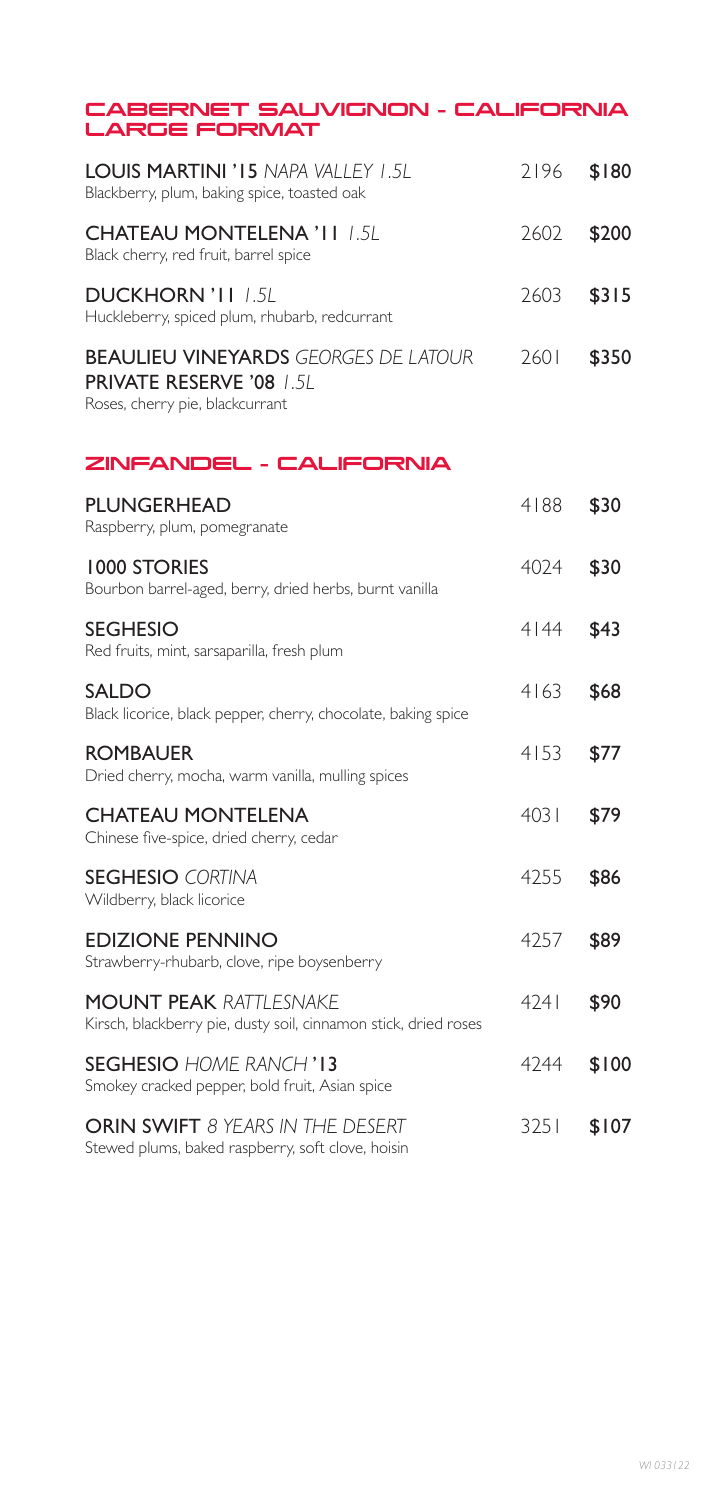| CABERNET SAUVIGNON - CALIFORNIA<br><b>LARGE FORMAT</b>                                                            |      |       |
|-------------------------------------------------------------------------------------------------------------------|------|-------|
| <b>LOUIS MARTINI 'IS NAPA VALLEY 1.5L</b><br>Blackberry, plum, baking spice, toasted oak                          | 2196 | \$180 |
| <b>CHATEAU MONTELENA 'II /.5L</b><br>Black cherry, red fruit, barrel spice                                        | 2602 | \$200 |
| <b>DUCKHORN 'II 1.5L</b><br>Huckleberry, spiced plum, rhubarb, redcurrant                                         | 2603 | \$315 |
| <b>BEAULIEU VINEYARDS GEORGES DE LATOUR</b><br><b>PRIVATE RESERVE '08 1.5L</b><br>Roses, cherry pie, blackcurrant | 7601 | \$350 |
| ZINFANDEL - CALIFORNIA                                                                                            |      |       |
| <b>PLUNGERHEAD</b><br>Raspberry, plum, pomegranate                                                                | 4188 | \$30  |
| <b>1000 STORIES</b><br>Bourbon barrel-aged, berry, dried herbs, burnt vanilla                                     | 4024 | \$30  |
| <b>SEGHESIO</b><br>Red fruits, mint, sarsaparilla, fresh plum                                                     | 4 44 | \$43  |
| <b>SALDO</b><br>Black licorice, black pepper, cherry, chocolate, baking spice                                     | 4163 | \$68  |
| <b>ROMBAUER</b><br>Dried cherry, mocha, warm vanilla, mulling spices                                              | 4153 | \$77  |
| <b>CHATEAU MONTELENA</b><br>Chinese five-spice, dried cherry, cedar                                               | 4031 | \$79  |
| <b>SEGHESIO CORTINA</b><br>Wildberry, black licorice                                                              | 4255 | \$86  |
| <b>EDIZIONE PENNINO</b><br>Strawberry-rhubarb, clove, ripe boysenberry                                            | 4257 | \$89  |
| <b>MOUNT PEAK RATTLESNAKE</b><br>Kirsch, blackberry pie, dusty soil, cinnamon stick, dried roses                  | 4241 | \$90  |
| <b>SEGHESIO</b> HOME RANCH' <b>13</b><br>Smokey cracked pepper, bold fruit, Asian spice                           | 4244 | \$100 |
| ORIN SWIFT 8 YEARS IN THE DESERT<br>Stewed plums, baked raspberry, soft clove, hoisin                             | 3251 | \$107 |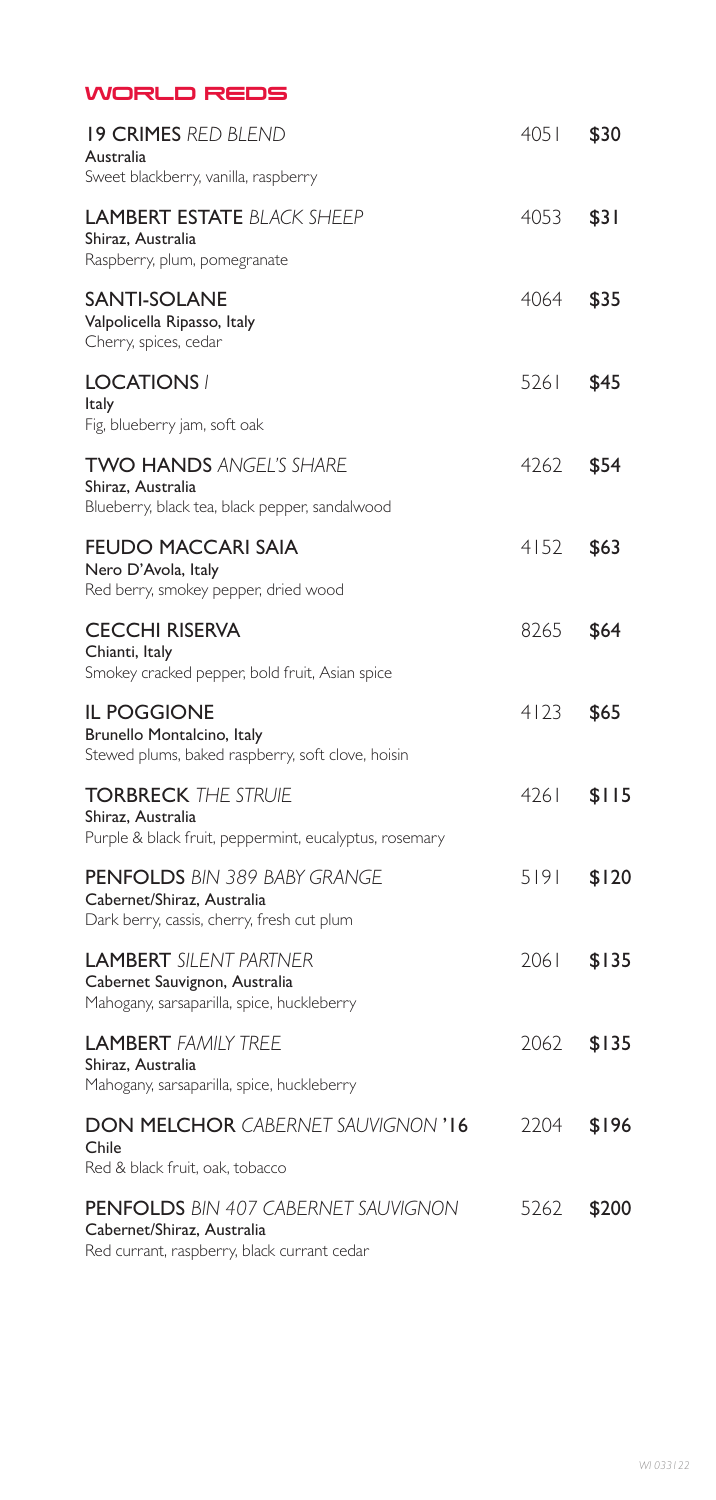| <b>WORLD REDS</b>                                                                                               |        |       |
|-----------------------------------------------------------------------------------------------------------------|--------|-------|
| <b>19 CRIMES RED BLEND</b><br>Australia<br>Sweet blackberry, vanilla, raspberry                                 | 4051   | \$30  |
| <b>LAMBERT ESTATE BLACK SHEEP</b><br>Shiraz, Australia<br>Raspberry, plum, pomegranate                          | 4053   | \$31  |
| SANTI-SOLANE<br>Valpolicella Ripasso, Italy<br>Cherry, spices, cedar                                            | 4064   | \$35  |
| <b>LOCATIONS /</b><br>Italy<br>Fig, blueberry jam, soft oak                                                     | 5261   | \$45  |
| <b>TWO HANDS ANGEL'S SHARE</b><br>Shiraz, Australia<br>Blueberry, black tea, black pepper, sandalwood           | 4262 - | \$54  |
| <b>FEUDO MACCARI SAIA</b><br>Nero D'Avola, Italy<br>Red berry, smokey pepper, dried wood                        | 4152   | \$63  |
| <b>CECCHI RISERVA</b><br>Chianti, Italy<br>Smokey cracked pepper, bold fruit, Asian spice                       | 8265   | \$64  |
| <b>IL POGGIONE</b><br>Brunello Montalcino, Italy<br>Stewed plums, baked raspberry, soft clove, hoisin           | 4123   | \$65  |
| <b>TORBRECK THE STRUIE</b><br>Shiraz, Australia<br>Purple & black fruit, peppermint, eucalyptus, rosemary       | 4261   | \$115 |
| <b>PENFOLDS</b> BIN 389 BABY GRANGE<br>Cabernet/Shiraz, Australia<br>Dark berry, cassis, cherry, fresh cut plum | 5191   | \$120 |
| <b>LAMBERT</b> SILENT PARTNER<br>Cabernet Sauvignon, Australia<br>Mahogany, sarsaparilla, spice, huckleberry    | 2061   | \$135 |
| <b>LAMBERT FAMILY TREE</b><br>Shiraz, Australia<br>Mahogany, sarsaparilla, spice, huckleberry                   | 2062   | \$135 |
| <b>DON MELCHOR CABERNET SAUVIGNON '16</b><br>Chile<br>Red & black fruit, oak, tobacco                           | 2204   | \$196 |
| <b>PENFOLDS</b> BIN 407 CABERNET SAUVIGNON<br>Cabernet/Shiraz, Australia                                        | 5262   | \$200 |

Red currant, raspberry, black currant cedar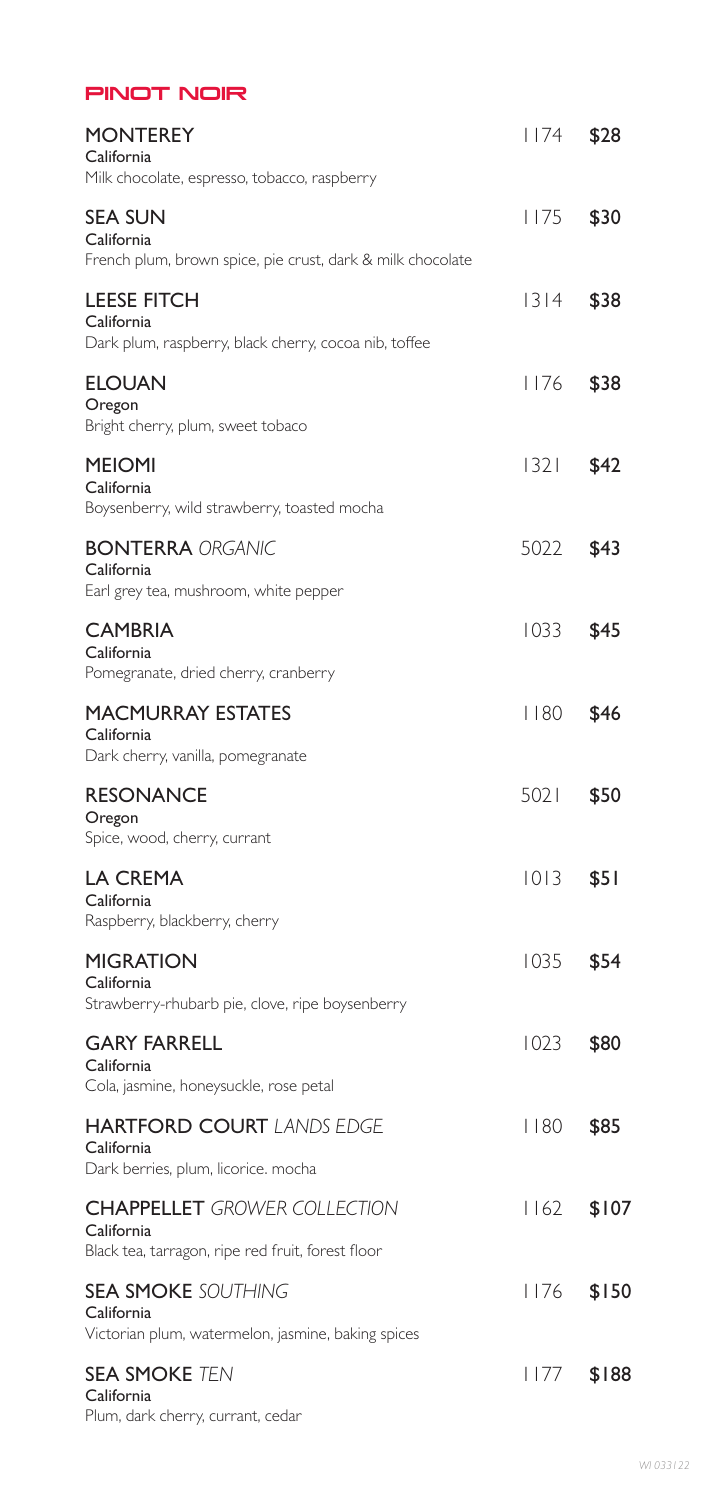| <b>PINOT NOIR</b>                                                                                      |       |       |
|--------------------------------------------------------------------------------------------------------|-------|-------|
| <b>MONTEREY</b><br>California<br>Milk chocolate, espresso, tobacco, raspberry                          | l 174 | \$28  |
| <b>SEA SUN</b><br>California<br>French plum, brown spice, pie crust, dark & milk chocolate             | l 175 | \$30  |
| <b>LEESE FITCH</b><br>California<br>Dark plum, raspberry, black cherry, cocoa nib, toffee              | 1314  | \$38  |
| <b>ELOUAN</b><br>Oregon<br>Bright cherry, plum, sweet tobaco                                           | 1176  | \$38  |
| <b>MEIOMI</b><br>California<br>Boysenberry, wild strawberry, toasted mocha                             | 32    | \$42  |
| <b>BONTERRA ORGANIC</b><br>California<br>Earl grey tea, mushroom, white pepper                         | 5022  | \$43  |
| <b>CAMBRIA</b><br>California<br>Pomegranate, dried cherry, cranberry                                   | 1033  | \$45  |
| <b>MACMURRAY ESTATES</b><br>California<br>Dark cherry, vanilla, pomegranate                            | 180   | \$46  |
| <b>RESONANCE</b><br>Oregon<br>Spice, wood, cherry, currant                                             | 5021  | \$50  |
| LA CREMA<br>California<br>Raspberry, blackberry, cherry                                                | 1013  | \$51  |
| <b>MIGRATION</b><br>California<br>Strawberry-rhubarb pie, clove, ripe boysenberry                      | 1035  | \$54  |
| <b>GARY FARRELL</b><br>California<br>Cola, jasmine, honeysuckle, rose petal                            | 1023  | \$80  |
| <b>HARTFORD COURT LANDS EDGE</b><br>California<br>Dark berries, plum, licorice. mocha                  | 1180  | \$85  |
| <b>CHAPPELLET</b> GROWER COLLECTION<br>California<br>Black tea, tarragon, ripe red fruit, forest floor | 1162  | \$107 |
| <b>SEA SMOKE SOUTHING</b><br>California<br>Victorian plum, watermelon, jasmine, baking spices          | l 176 | \$150 |
| <b>SEA SMOKE TEN</b><br>California<br>Plum, dark cherry, currant, cedar                                | l 177 | \$188 |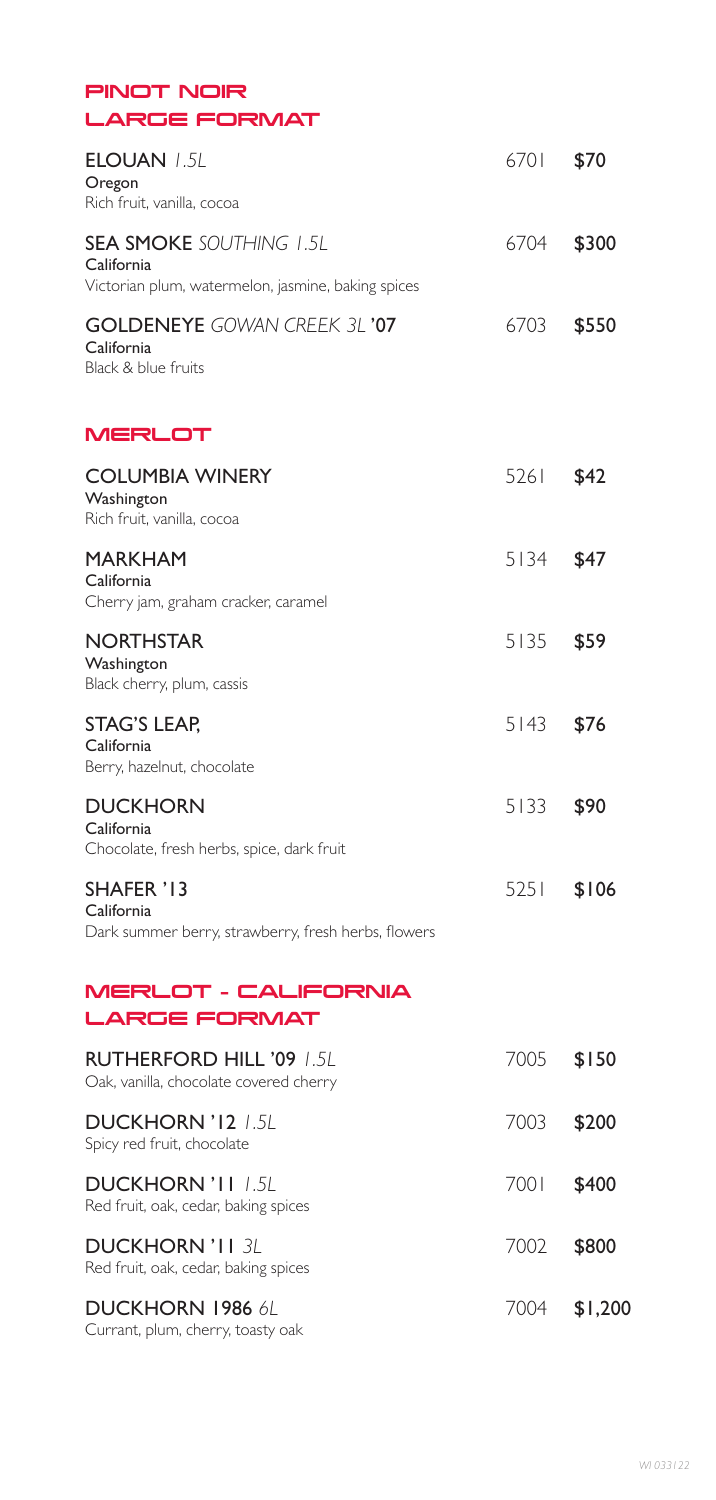| PINOT NOIR |              |
|------------|--------------|
|            | LARGE FORMAT |

| <b>ELOUAN 1.5L</b><br>Oregon<br>Rich fruit, vanilla, cocoa                                         | 6701 | \$70  |
|----------------------------------------------------------------------------------------------------|------|-------|
| <b>SEA SMOKE SOUTHING 1.5L</b><br>California<br>Victorian plum, watermelon, jasmine, baking spices | 6704 | \$300 |
| <b>GOLDENEYE</b> GOWAN CREEK 3L'07<br>California<br>Black & blue fruits                            | 6703 | \$550 |
| <b>MERLOT</b>                                                                                      |      |       |
| <b>COLUMBIA WINERY</b><br>Washington<br>Rich fruit, vanilla, cocoa                                 | 5261 | \$42  |
| <b>MARKHAM</b><br>California<br>Cherry jam, graham cracker, caramel                                | 5134 | \$47  |
| <b>NORTHSTAR</b><br>Washington<br>Black cherry, plum, cassis                                       | 5135 | \$59  |
| <b>STAG'S LEAP,</b><br>California<br>Berry, hazelnut, chocolate                                    | 5143 | \$76  |
| <b>DUCKHORN</b><br>California<br>Chocolate, fresh herbs, spice, dark fruit                         | 5133 | \$90  |
| SHAFER '13<br>California<br>Dark summer berry, strawberry, fresh herbs, flowers                    | 5251 | \$106 |

# MERLOT – CALIFORNIA LARGE FORMAT

| <b>RUTHERFORD HILL '09 1.51</b><br>Oak, vanilla, chocolate covered cherry | 7005 | \$150   |
|---------------------------------------------------------------------------|------|---------|
| DUCKHORN '12 1.51<br>Spicy red fruit, chocolate                           | 7003 | \$200   |
| DUCKHORN 'I I 1.51<br>Red fruit, oak, cedar, baking spices                | 7001 | \$400   |
| <b>DUCKHORN 'I I 3/</b><br>Red fruit, oak, cedar, baking spices           | 7002 | \$800   |
| DUCKHORN 1986 61<br>Currant, plum, cherry, toasty oak                     | 7004 | \$1,200 |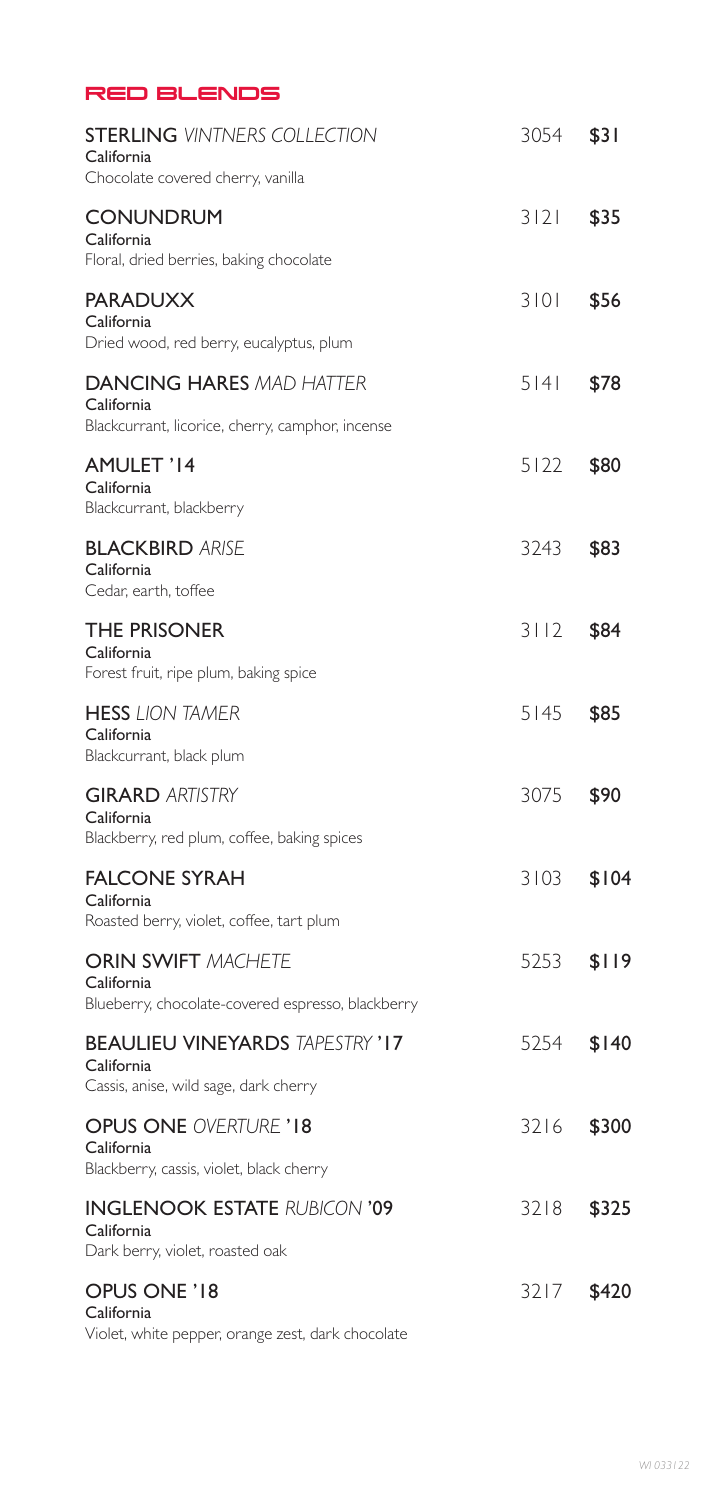| <b>RED BLENDS</b>                                                                                 |        |       |
|---------------------------------------------------------------------------------------------------|--------|-------|
| <b>STERLING VINTNERS COLLECTION</b><br>California                                                 | 3054   | \$31  |
| Chocolate covered cherry, vanilla<br><b>CONUNDRUM</b><br>California                               | 3 2    | \$35  |
| Floral, dried berries, baking chocolate<br><b>PARADUXX</b>                                        | 3101   | \$56  |
| California<br>Dried wood, red berry, eucalyptus, plum                                             |        |       |
| <b>DANCING HARES MAD HATTER</b><br>California<br>Blackcurrant, licorice, cherry, camphor, incense | 5141   | \$78  |
| AMULET '14<br>California<br>Blackcurrant, blackberry                                              | $5122$ | \$80  |
| <b>BLACKBIRD ARISE</b><br>California<br>Cedar, earth, toffee                                      | 3243   | \$83  |
| <b>THE PRISONER</b><br>California<br>Forest fruit, ripe plum, baking spice                        | 3112   | \$84  |
| <b>HESS LION TAMER</b><br>California<br>Blackcurrant, black plum                                  | 5145   | \$85  |
| <b>GIRARD ARTISTRY</b><br>California<br>Blackberry, red plum, coffee, baking spices               | 3075   | \$90  |
| <b>FALCONE SYRAH</b><br>California<br>Roasted berry, violet, coffee, tart plum                    | 3103   | \$104 |
| <b>ORIN SWIFT MACHETE</b><br>California<br>Blueberry, chocolate-covered espresso, blackberry      | 5253   | \$119 |
| <b>BEAULIEU VINEYARDS TAPESTRY '17</b><br>California<br>Cassis, anise, wild sage, dark cherry     | 5254   | \$140 |
| <b>OPUS ONE OVERTURE '18</b><br>California<br>Blackberry, cassis, violet, black cherry            | 3216   | \$300 |
| <b>INGLENOOK ESTATE RUBICON '09</b><br>California<br>Dark berry, violet, roasted oak              | 3218   | \$325 |
| OPUS ONE '18<br>California<br>Violet, white pepper, orange zest, dark chocolate                   | 3217   | \$420 |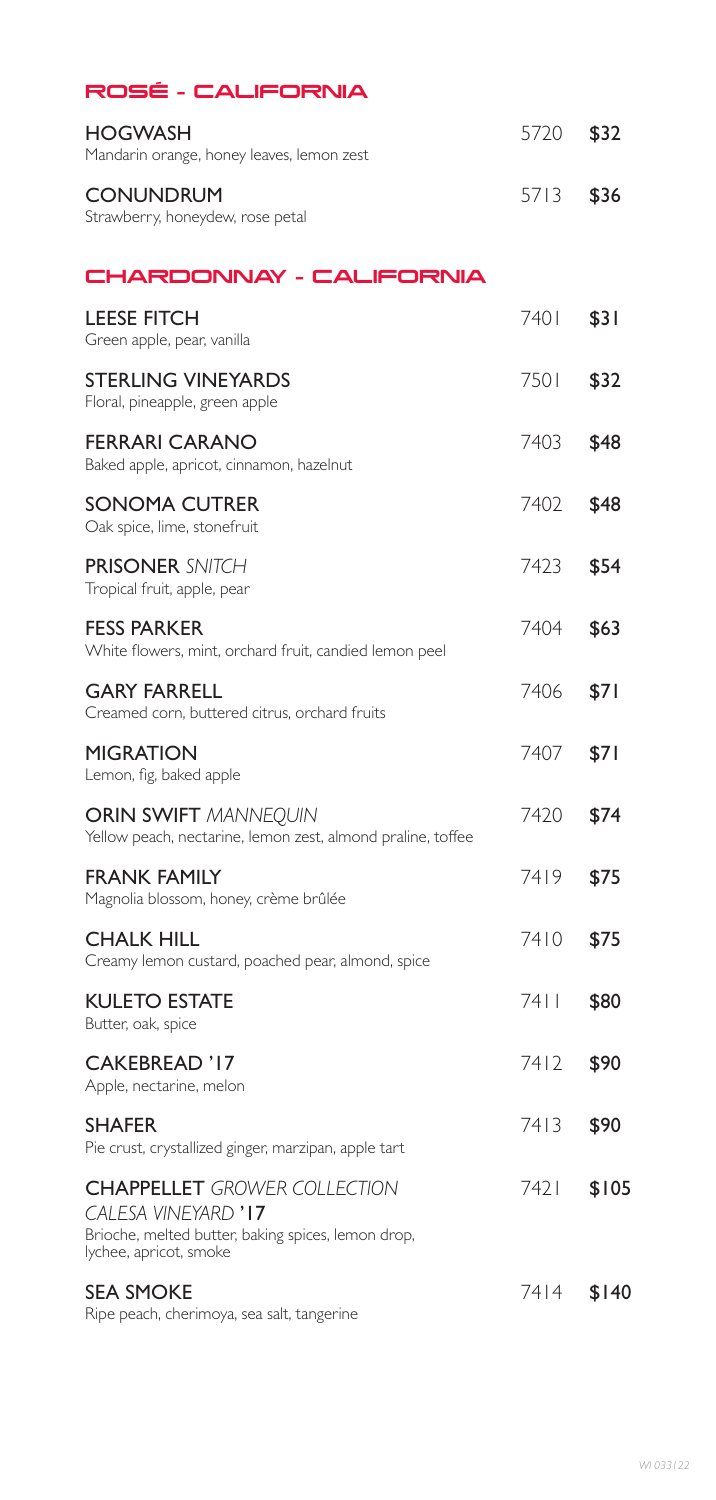## ROSÉ – CALIFORNIA

| HOGWASH<br>Mandarin orange, honey leaves, lemon zest                                                                                       | 5720  | \$32  |
|--------------------------------------------------------------------------------------------------------------------------------------------|-------|-------|
| <b>CONUNDRUM</b><br>Strawberry, honeydew, rose petal                                                                                       | 5713  | \$36  |
| CHARDONNAY - CALIFORNIA                                                                                                                    |       |       |
| <b>LEESE FITCH</b><br>Green apple, pear, vanilla                                                                                           | 740 I | \$31  |
| <b>STERLING VINEYARDS</b><br>Floral, pineapple, green apple                                                                                | 7501  | \$32  |
| <b>FERRARI CARANO</b><br>Baked apple, apricot, cinnamon, hazelnut                                                                          | 7403  | \$48  |
| <b>SONOMA CUTRER</b><br>Oak spice, lime, stonefruit                                                                                        | 7402  | \$48  |
| <b>PRISONER SNITCH</b><br>Tropical fruit, apple, pear                                                                                      | 7423  | \$54  |
| <b>FESS PARKER</b><br>White flowers, mint, orchard fruit, candied lemon peel                                                               | 7404  | \$63  |
| <b>GARY FARRELL</b><br>Creamed corn, buttered citrus, orchard fruits                                                                       | 7406  | \$71  |
| <b>MIGRATION</b><br>Lemon, fig, baked apple                                                                                                | 7407  | \$71  |
| <b>ORIN SWIFT MANNEQUIN</b><br>Yellow peach, nectarine, lemon zest, almond praline, toffee                                                 | 7420  | \$74  |
| <b>FRANK FAMILY</b><br>Magnolia blossom, honey, crème brûlée                                                                               | 7419  | \$75  |
| <b>CHALK HILL</b><br>Creamy lemon custard, poached pear, almond, spice                                                                     | 7410  | \$75  |
| <b>KULETO ESTATE</b><br>Butter, oak, spice                                                                                                 | 7411  | \$80  |
| <b>CAKEBREAD '17</b><br>Apple, nectarine, melon                                                                                            | 7412  | \$90  |
| <b>SHAFER</b><br>Pie crust, crystallized ginger, marzipan, apple tart                                                                      | 7413  | \$90  |
| <b>CHAPPELLET</b> GROWER COLLECTION<br>CALESA VINEYARD '17<br>Brioche, melted butter, baking spices, lemon drop,<br>lychee, apricot, smoke | 7421  | \$105 |

SEA SMOKE 7414 \$140 Ripe peach, cherimoya, sea salt, tangerine

*WI 033122*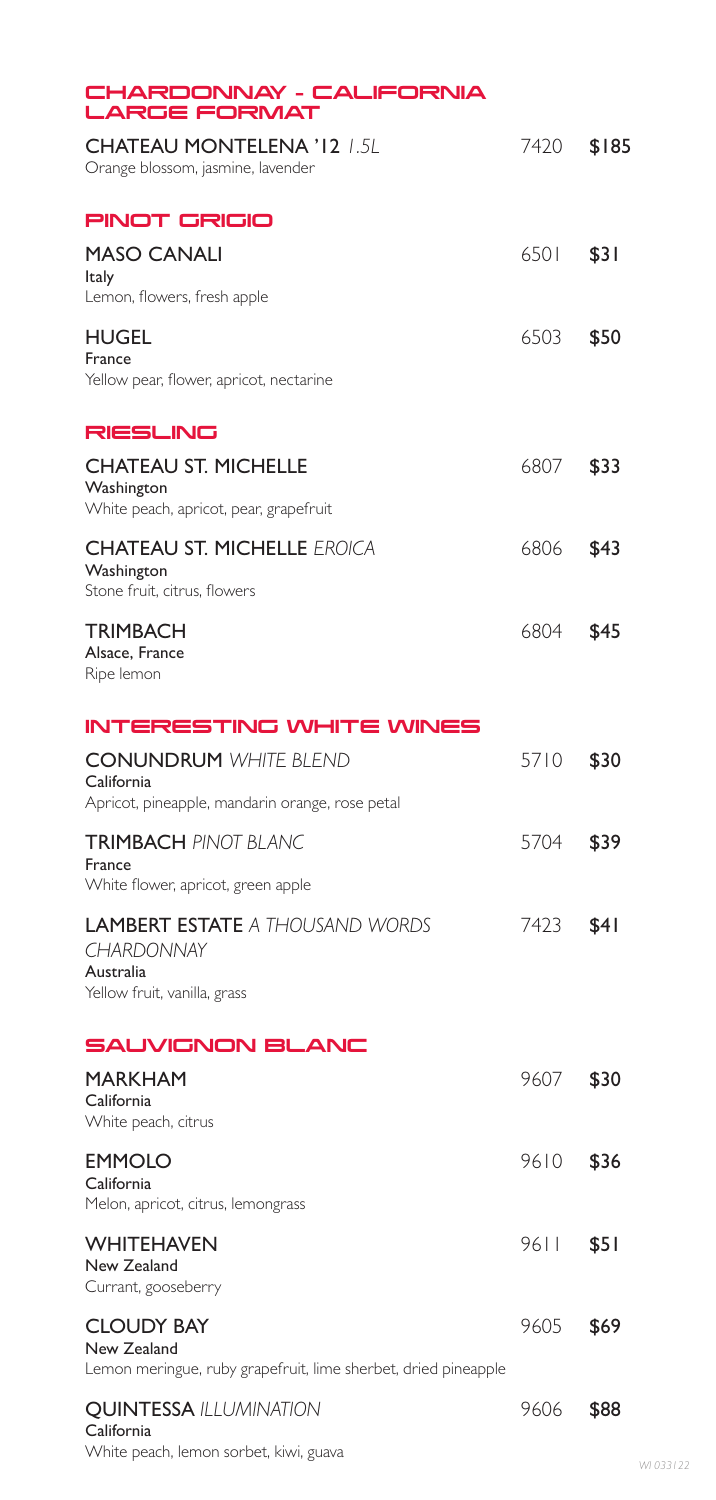| CHARDONNAY - CALIFORNIA<br><b>LARGE FORMAT</b>                                                     |      |       |
|----------------------------------------------------------------------------------------------------|------|-------|
| <b>CHATEAU MONTELENA '12 1.5L</b><br>Orange blossom, jasmine, lavender                             | 7420 | \$185 |
| <b>PINOT GRIGIO</b>                                                                                |      |       |
| <b>MASO CANALI</b><br><b>Italy</b><br>Lemon, flowers, fresh apple                                  | 6501 | \$31  |
| <b>HUGEL</b><br>France<br>Yellow pear, flower, apricot, nectarine                                  | 6503 | \$50  |
| RIESLING                                                                                           |      |       |
| <b>CHATEAU ST. MICHELLE</b><br>Washington<br>White peach, apricot, pear, grapefruit                | 6807 | \$33  |
| <b>CHATEAU ST. MICHELLE EROICA</b><br>Washington<br>Stone fruit, citrus, flowers                   | 6806 | \$43  |
| <b>TRIMBACH</b><br>Alsace, France<br>Ripe lemon                                                    | 6804 | \$45  |
| <b>INTERESTING WHITE WINES</b>                                                                     |      |       |
| <b>CONUNDRUM WHITE BLEND</b><br>California<br>Apricot, pineapple, mandarin orange, rose petal      | 5710 | \$30  |
| <b>TRIMBACH PINOT BLANC</b><br>France<br>White flower, apricot, green apple                        | 5704 | \$39  |
| <b>LAMBERT ESTATE A THOUSAND WORDS</b><br>CHARDONNAY<br>Australia<br>Yellow fruit, vanilla, grass  | 7423 | \$41  |
| <b>SAUVIGNON BLANC</b>                                                                             |      |       |
| <b>MARKHAM</b><br>California<br>White peach, citrus                                                | 9607 | \$30  |
| <b>EMMOLO</b><br>California<br>Melon, apricot, citrus, lemongrass                                  | 9610 | \$36  |
| WHITEHAVEN<br>New Zealand<br>Currant, gooseberry                                                   | 9611 | \$5 I |
| <b>CLOUDY BAY</b><br>New Zealand<br>Lemon meringue, ruby grapefruit, lime sherbet, dried pineapple | 9605 | \$69  |
| <b>QUINTESSA ILLUMINATION</b><br>California<br>White peach, lemon sorbet, kiwi, guava              | 9606 | \$88  |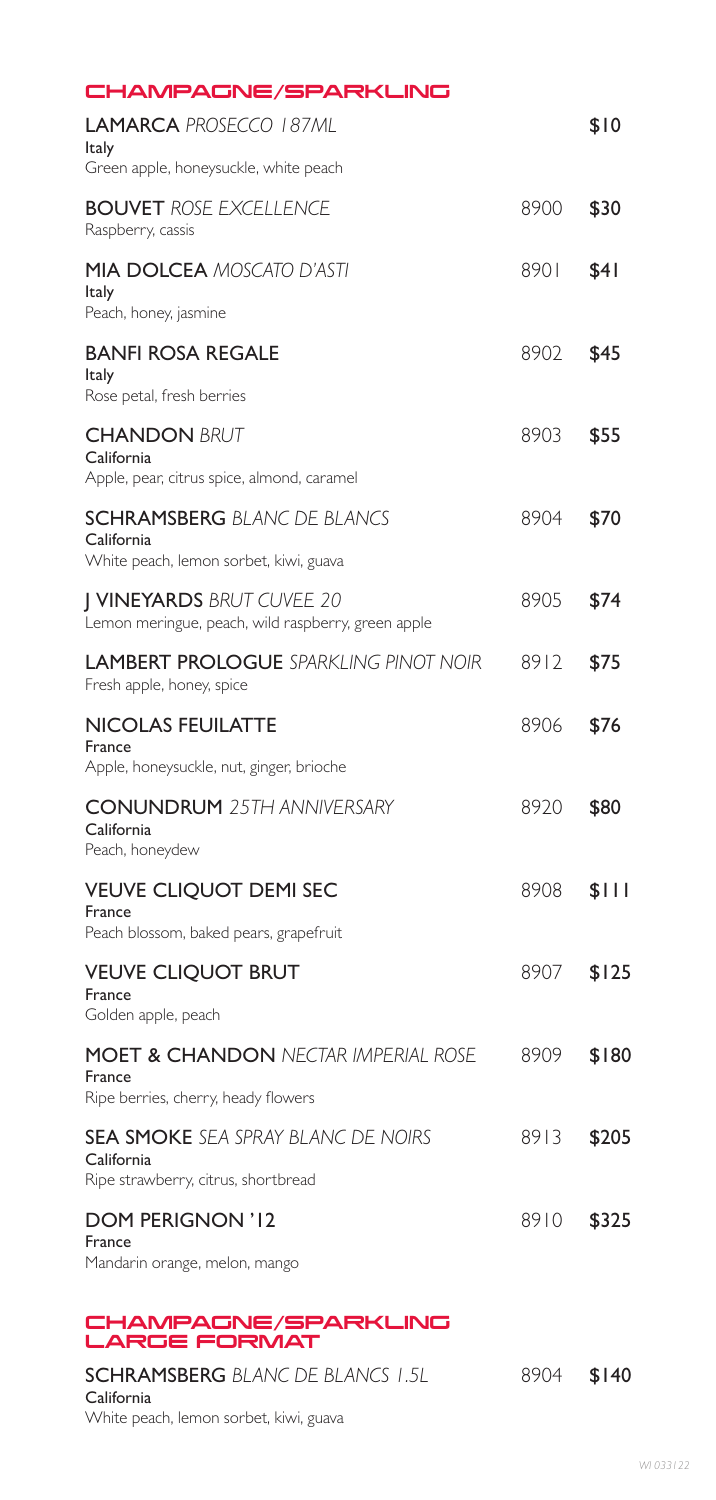| CHAMPAGNE/SPARKLING                                                                        |      |       |
|--------------------------------------------------------------------------------------------|------|-------|
| <b>LAMARCA PROSECCO 187ML</b><br>Italy                                                     |      | \$10  |
| Green apple, honeysuckle, white peach                                                      |      |       |
| <b>BOUVET ROSE EXCELLENCE</b><br>Raspberry, cassis                                         | 8900 | \$30  |
| <b>MIA DOLCEA MOSCATO D'ASTI</b><br>Italy                                                  | 8901 | \$4 I |
| Peach, honey, jasmine                                                                      |      |       |
| <b>BANFI ROSA REGALE</b><br>Italy                                                          | 8902 | \$45  |
| Rose petal, fresh berries                                                                  |      |       |
| <b>CHANDON BRUT</b><br>California<br>Apple, pear, citrus spice, almond, caramel            | 8903 | \$55  |
|                                                                                            |      |       |
| <b>SCHRAMSBERG BLANC DE BLANCS</b><br>California<br>White peach, lemon sorbet, kiwi, guava | 8904 | \$70  |
|                                                                                            |      |       |
| <b>J VINEYARDS BRUT CUVEE 20</b><br>Lemon meringue, peach, wild raspberry, green apple     | 8905 | \$74  |
| <b>LAMBERT PROLOGUE SPARKLING PINOT NOIR</b><br>Fresh apple, honey, spice                  | 8912 | \$75  |
| <b>NICOLAS FEUILATTE</b><br>France                                                         | 8906 | \$76  |
| Apple, honeysuckle, nut, ginger, brioche                                                   |      |       |
| <b>CONUNDRUM</b> 25TH ANNIVERSARY<br>California<br>Peach, honeydew                         | 8920 | \$80  |
| <b>VEUVE CLIQUOT DEMI SEC</b>                                                              | 8908 | \$    |
| France<br>Peach blossom, baked pears, grapefruit                                           |      |       |
| <b>VEUVE CLIQUOT BRUT</b>                                                                  | 8907 | \$125 |
| France<br>Golden apple, peach                                                              |      |       |
| <b>MOET &amp; CHANDON NECTAR IMPERIAL ROSE</b><br>France                                   | 8909 | \$180 |
| Ripe berries, cherry, heady flowers                                                        |      |       |
| <b>SEA SMOKE</b> SEA SPRAY BLANC DE NOIRS<br>California                                    | 8913 | \$205 |
| Ripe strawberry, citrus, shortbread                                                        |      |       |
| <b>DOM PERIGNON '12</b><br>France<br>Mandarin orange, melon, mango                         | 8910 | \$325 |
|                                                                                            |      |       |
| CHAMPAGNE/SPARKLING<br><b>LARGE FORMAT</b>                                                 |      |       |
| <b>SCHRAMSBERG</b> BLANC DE BLANCS 1.5L                                                    | 8904 | \$140 |

California White peach, lemon sorbet, kiwi, guava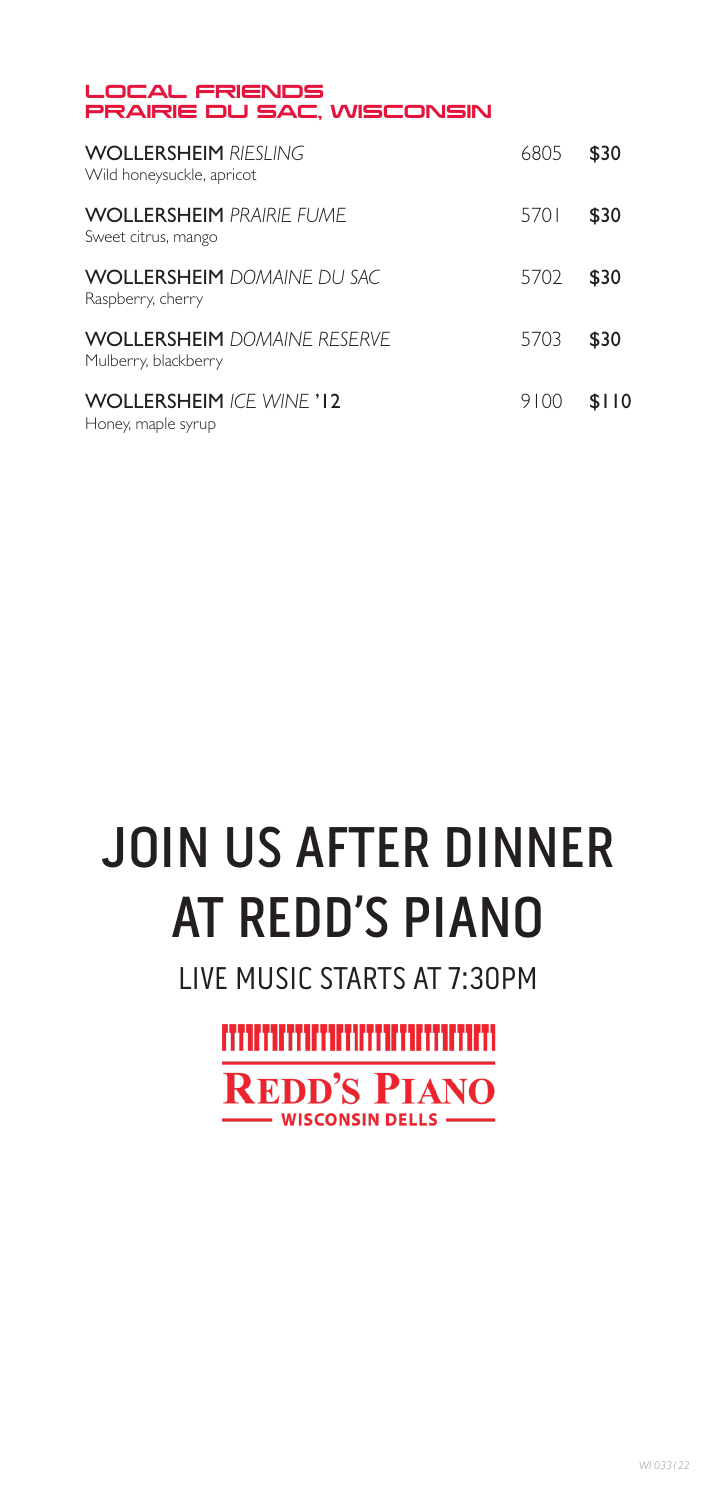#### LOCAL FRIENDS PRAIRIE DU SAC, WISCONSIN

| <b>WOLLERSHEIM RIFSLING</b><br>Wild honeysuckle, apricot   | 6805 | \$30  |
|------------------------------------------------------------|------|-------|
| <b>WOLLERSHEIM PRAIRIF FUME</b><br>Sweet citrus, mango     | 5701 | \$30  |
| <b>WOLLERSHEIM</b> DOMAINE DU SAC<br>Raspberry, cherry     | 5702 | \$30  |
| <b>WOLLERSHEIM</b> DOMAINE RESERVE<br>Mulberry, blackberry | 5703 | \$30  |
| <b>WOLLERSHEIM ICF WINE '12</b><br>Honey, maple syrup      | 9100 | \$110 |



LIVE MUSIC STARTS AT 7:30PM